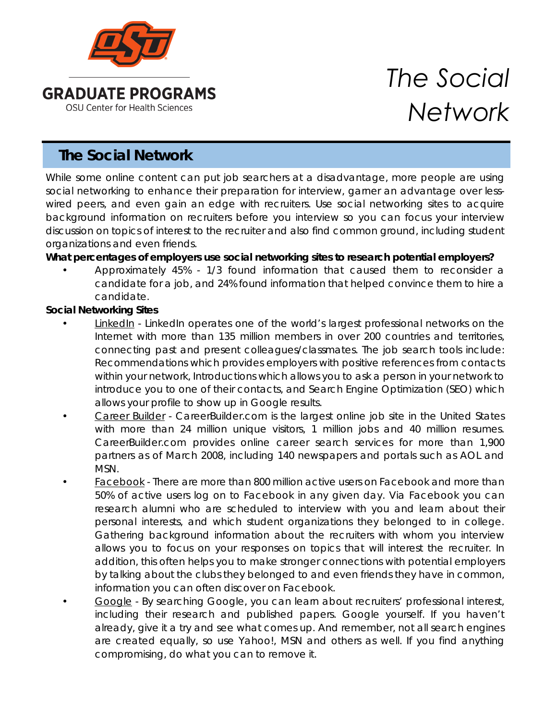

# **The Social Network**

While some online content can put job searchers at a disadvantage, more people are using social networking to enhance their preparation for interview, garner an advantage over lesswired peers, and even gain an edge with recruiters. Use social networking sites to acquire background information on recruiters before you interview so you can focus your interview discussion on topics of interest to the recruiter and also find common ground, including student organizations and even friends.

# **What percentages of employers use social networking sites to research potential employers?**

• Approximately 45% - 1/3 found information that caused them to reconsider a candidate for a job, and 24% found information that helped convince them to hire a candidate.

### **Social Networking Sites**

- LinkedIn LinkedIn operates one of the world's largest professional networks on the Internet with more than 135 million members in over 200 countries and territories, connecting past and present colleagues/classmates. The job search tools include: Recommendations which provides employers with positive references from contacts within your network, Introductions which allows you to ask a person in your network to introduce you to one of their contacts, and Search Engine Optimization (SEO) which allows your profile to show up in Google results.
- Career Builder CareerBuilder.com is the largest online job site in the United States with more than 24 million unique visitors, 1 million jobs and 40 million resumes. CareerBuilder.com provides online career search services for more than 1,900 partners as of March 2008, including 140 newspapers and portals such as AOL and MSN.
- Facebook There are more than 800 million active users on Facebook and more than 50% of active users log on to Facebook in any given day. Via Facebook you can research alumni who are scheduled to interview with you and learn about their personal interests, and which student organizations they belonged to in college. Gathering background information about the recruiters with whom you interview allows you to focus on your responses on topics that will interest the recruiter. In addition, this often helps you to make stronger connections with potential employers by talking about the clubs they belonged to and even friends they have in common, information you can often discover on Facebook.
- Google By searching Google, you can learn about recruiters' professional interest, including their research and published papers. Google yourself. If you haven't already, give it a try and see what comes up. And remember, not all search engines are created equally, so use Yahoo!, MSN and others as well. If you find anything compromising, do what you can to remove it.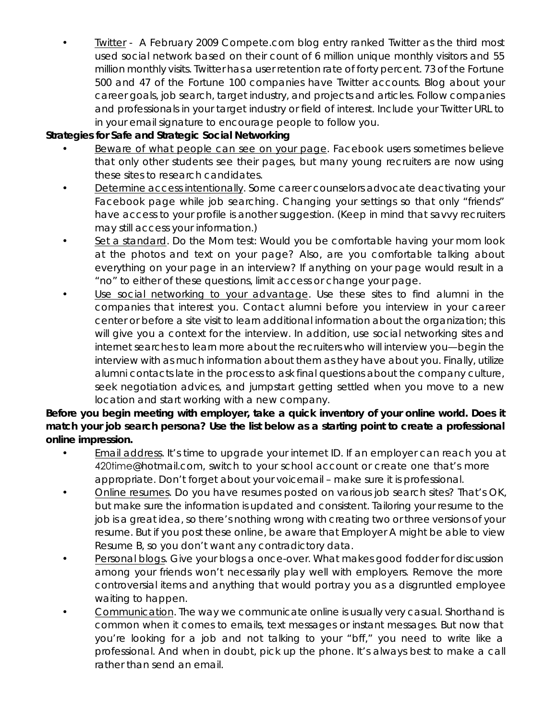• Twitter - A February 2009 Compete.com blog entry ranked Twitter as the third most used social network based on their count of 6 million unique monthly visitors and 55 million monthly visits. Twitter has a user retention rate of forty percent. 73 of the Fortune 500 and 47 of the Fortune 100 companies have Twitter accounts. Blog about your career goals, job search, target industry, and projects and articles. Follow companies and professionals in your target industry or field of interest. Include your Twitter URL to in your email signature to encourage people to follow you.

# **Strategies for Safe and Strategic Social Networking**

- Beware of what people can see on your page. Facebook users sometimes believe that only other students see their pages, but many young recruiters are now using these sites to research candidates.
- Determine access intentionally. Some career counselors advocate deactivating your Facebook page while job searching. Changing your settings so that only "friends" have access to your profile is another suggestion. (Keep in mind that savvy recruiters may still access your information.)
- Set a standard. Do the Mom test: Would you be comfortable having your mom look at the photos and text on your page? Also, are you comfortable talking about everything on your page in an interview? If anything on your page would result in a "no" to either of these questions, limit access or change your page.
- Use social networking to your advantage. Use these sites to find alumni in the companies that interest you. Contact alumni before you interview in your career center or before a site visit to learn additional information about the organization; this will give you a context for the interview. In addition, use social networking sites and internet searches to learn more about the recruiters who will interview you—begin the interview with as much information about them as they have about you. Finally, utilize alumni contacts late in the process to ask final questions about the company culture, seek negotiation advices, and jumpstart getting settled when you move to a new location and start working with a new company.

**Before you begin meeting with employer, take a quick inventory of your online world. Does it match your job search persona? Use the list below as a starting point to create a professional online impression.** 

- Email address. It's time to upgrade your internet ID. If an employer can reach you at 420time@hotmail.com, switch to your school account or create one that's more appropriate. Don't forget about your voicemail – make sure it is professional.
- Online resumes. Do you have resumes posted on various job search sites? That's OK, but make sure the information is updated and consistent. Tailoring your resume to the job is a great idea, so there's nothing wrong with creating two or three versions of your resume. But if you post these online, be aware that Employer A might be able to view Resume B, so you don't want any contradictory data.
- Personal blogs. Give your blogs a once-over. What makes good fodder for discussion among your friends won't necessarily play well with employers. Remove the more controversial items and anything that would portray you as a disgruntled employee waiting to happen.
- Communication. The way we communicate online is usually very casual. Shorthand is common when it comes to emails, text messages or instant messages. But now that you're looking for a job and not talking to your "bff," you need to write like a professional. And when in doubt, pick up the phone. It's always best to make a call rather than send an email.